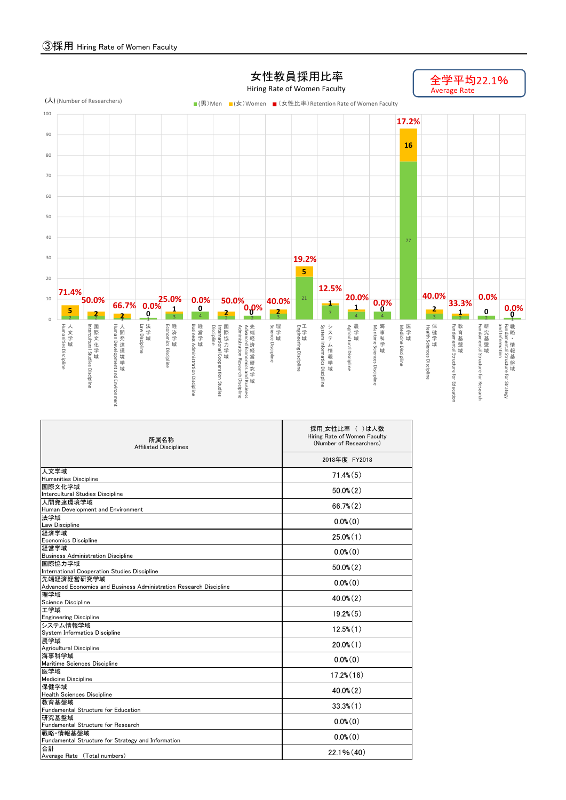

| 所属名称<br><b>Affiliated Disciplines</b>                                            | 採用 女性比率 ( )は人数<br>Hiring Rate of Women Faculty<br>(Number of Researchers)<br>2018年度 FY2018 |  |  |  |  |  |  |
|----------------------------------------------------------------------------------|--------------------------------------------------------------------------------------------|--|--|--|--|--|--|
|                                                                                  |                                                                                            |  |  |  |  |  |  |
| 人文学域                                                                             | $71.4\%$ $(5)$                                                                             |  |  |  |  |  |  |
| Humanities Discipline                                                            |                                                                                            |  |  |  |  |  |  |
| 国際文化学域<br>Intercultural Studies Discipline                                       | $50.0\%$ $(2)$                                                                             |  |  |  |  |  |  |
| 人間発達環境学域                                                                         | $66.7\%$ $(2)$                                                                             |  |  |  |  |  |  |
| Human Development and Environment                                                |                                                                                            |  |  |  |  |  |  |
| 法学域<br>Law Discipline                                                            | $0.0\%$ (0)                                                                                |  |  |  |  |  |  |
| 経済学域                                                                             | $25.0\%$ (1)                                                                               |  |  |  |  |  |  |
| Economics Discipline                                                             |                                                                                            |  |  |  |  |  |  |
| 経営学域                                                                             | $0.0\%$ $(0)$                                                                              |  |  |  |  |  |  |
| <b>Business Administration Discipline</b>                                        |                                                                                            |  |  |  |  |  |  |
| 国際協力学域                                                                           | $50.0\%$ $(2)$                                                                             |  |  |  |  |  |  |
| International Cooperation Studies Discipline                                     |                                                                                            |  |  |  |  |  |  |
| 先端経済経営研究学域<br>Advanced Economics and Business Administration Research Discipline | $0.0\%$ (0)                                                                                |  |  |  |  |  |  |
| 理学域                                                                              |                                                                                            |  |  |  |  |  |  |
| Science Discipline                                                               | $40.0\%$ (2)                                                                               |  |  |  |  |  |  |
| 工学域                                                                              | $19.2\%$ $(5)$                                                                             |  |  |  |  |  |  |
| <b>Engineering Discipline</b>                                                    |                                                                                            |  |  |  |  |  |  |
| システム情報学域<br>System Informatics Discipline                                        | $12.5\%$ $(1)$                                                                             |  |  |  |  |  |  |
| 農学域                                                                              |                                                                                            |  |  |  |  |  |  |
| Agricultural Discipline                                                          | $20.0\%$ $(1)$                                                                             |  |  |  |  |  |  |
| 海事科学域                                                                            | $0.0\%$ (0)                                                                                |  |  |  |  |  |  |
| Maritime Sciences Discipline                                                     |                                                                                            |  |  |  |  |  |  |
| 医学域                                                                              | $17.2\%$ $(16)$                                                                            |  |  |  |  |  |  |
| <b>Medicine Discipline</b>                                                       |                                                                                            |  |  |  |  |  |  |
| 保健学域                                                                             | $40.0\%$ (2)                                                                               |  |  |  |  |  |  |
| <b>Health Sciences Discipline</b><br>教育基盤域                                       |                                                                                            |  |  |  |  |  |  |
| Fundamental Structure for Education                                              | $33.3\%$ $(1)$                                                                             |  |  |  |  |  |  |
| 研究基盤域                                                                            |                                                                                            |  |  |  |  |  |  |
| Fundamental Structure for Research                                               | $0.0\%$ (0)                                                                                |  |  |  |  |  |  |
| 戦略 情報基盤域                                                                         |                                                                                            |  |  |  |  |  |  |
| Fundamental Structure for Strategy and Information                               | $0.0\%$ (0)                                                                                |  |  |  |  |  |  |
| 合計                                                                               | 22.1% (40)                                                                                 |  |  |  |  |  |  |
| Average Rate (Total numbers)                                                     |                                                                                            |  |  |  |  |  |  |

## 女性教員採用比率 Hiring Rate of Women Faculty

全学平均22.1%<br>Average Rate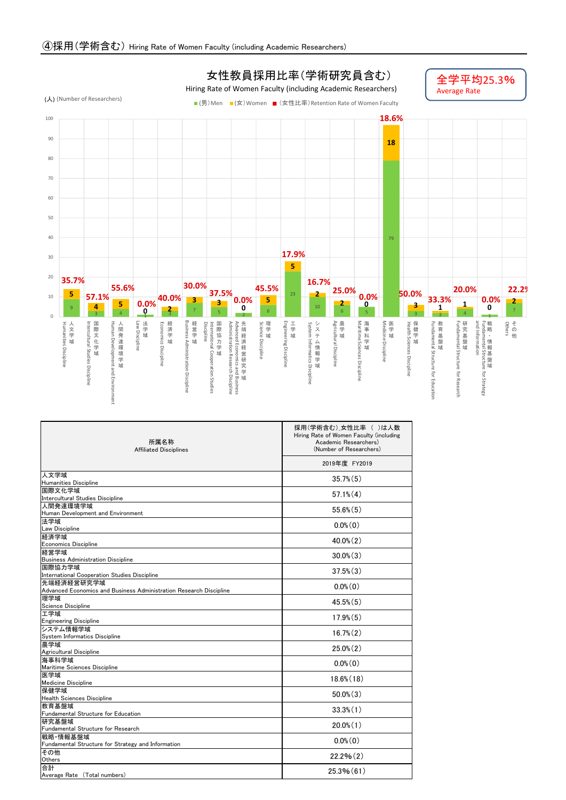

| 所属名称<br><b>Affiliated Disciplines</b>                              | 採用(学術含む) 女性比率 ( )は人数<br>Hiring Rate of Women Faculty (including<br>Academic Researchers)<br>(Number of Researchers) |  |  |  |  |  |  |
|--------------------------------------------------------------------|---------------------------------------------------------------------------------------------------------------------|--|--|--|--|--|--|
|                                                                    | 2019年度 FY2019                                                                                                       |  |  |  |  |  |  |
| 人文学域                                                               | $35.7\%$ $(5)$                                                                                                      |  |  |  |  |  |  |
| Humanities Discipline<br>国際文化学域                                    |                                                                                                                     |  |  |  |  |  |  |
| Intercultural Studies Discipline                                   | $57.1\%$ $(4)$                                                                                                      |  |  |  |  |  |  |
| 人間発達環境学域                                                           | $55.6\%$ $(5)$                                                                                                      |  |  |  |  |  |  |
| Human Development and Environment                                  |                                                                                                                     |  |  |  |  |  |  |
| 法学域<br><b>Law Discipline</b>                                       | $0.0\%$ $(0)$                                                                                                       |  |  |  |  |  |  |
| 経済学域                                                               |                                                                                                                     |  |  |  |  |  |  |
| <b>Economics Discipline</b>                                        | $40.0\%$ (2)                                                                                                        |  |  |  |  |  |  |
| 経営学域                                                               |                                                                                                                     |  |  |  |  |  |  |
| <b>Business Administration Discipline</b>                          | $30.0\%$ $(3)$                                                                                                      |  |  |  |  |  |  |
| 国際協力学域                                                             | $37.5\%$ $(3)$                                                                                                      |  |  |  |  |  |  |
| International Cooperation Studies Discipline                       |                                                                                                                     |  |  |  |  |  |  |
| 先端経済経営研究学域                                                         | $0.0\%$ $(0)$                                                                                                       |  |  |  |  |  |  |
| Advanced Economics and Business Administration Research Discipline |                                                                                                                     |  |  |  |  |  |  |
| 理学域                                                                | $45.5\%$ $(5)$                                                                                                      |  |  |  |  |  |  |
| Science Discipline                                                 |                                                                                                                     |  |  |  |  |  |  |
| 工学域                                                                | $17.9\%$ $(5)$                                                                                                      |  |  |  |  |  |  |
| <b>Engineering Discipline</b>                                      |                                                                                                                     |  |  |  |  |  |  |
| システム情報学域                                                           | $16.7\%$ $(2)$                                                                                                      |  |  |  |  |  |  |
| System Informatics Discipline                                      |                                                                                                                     |  |  |  |  |  |  |
| 農学域<br>Agricultural Discipline                                     | $25.0\%$ $(2)$                                                                                                      |  |  |  |  |  |  |
| 海事科学域                                                              |                                                                                                                     |  |  |  |  |  |  |
| Maritime Sciences Discipline                                       | $0.0\%$ $(0)$                                                                                                       |  |  |  |  |  |  |
| 医学域                                                                |                                                                                                                     |  |  |  |  |  |  |
| <b>Medicine Discipline</b>                                         | $18.6\%$ $(18)$                                                                                                     |  |  |  |  |  |  |
| 保健学域                                                               |                                                                                                                     |  |  |  |  |  |  |
| <b>Health Sciences Discipline</b>                                  | $50.0\%$ $(3)$                                                                                                      |  |  |  |  |  |  |
| 教育基盤域                                                              | $33.3\%$ (1)                                                                                                        |  |  |  |  |  |  |
| Fundamental Structure for Education                                |                                                                                                                     |  |  |  |  |  |  |
| 研究基盤域                                                              | $20.0\%$ $(1)$                                                                                                      |  |  |  |  |  |  |
| Fundamental Structure for Research                                 |                                                                                                                     |  |  |  |  |  |  |
| 戦略·情報基盤域<br>Fundamental Structure for Strategy and Information     | $0.0\%$ (0)                                                                                                         |  |  |  |  |  |  |
| その他                                                                |                                                                                                                     |  |  |  |  |  |  |
| Others                                                             | 22.2%(2)                                                                                                            |  |  |  |  |  |  |
| 合計                                                                 |                                                                                                                     |  |  |  |  |  |  |
| Average Rate (Total numbers)                                       | 25.3%(61)                                                                                                           |  |  |  |  |  |  |